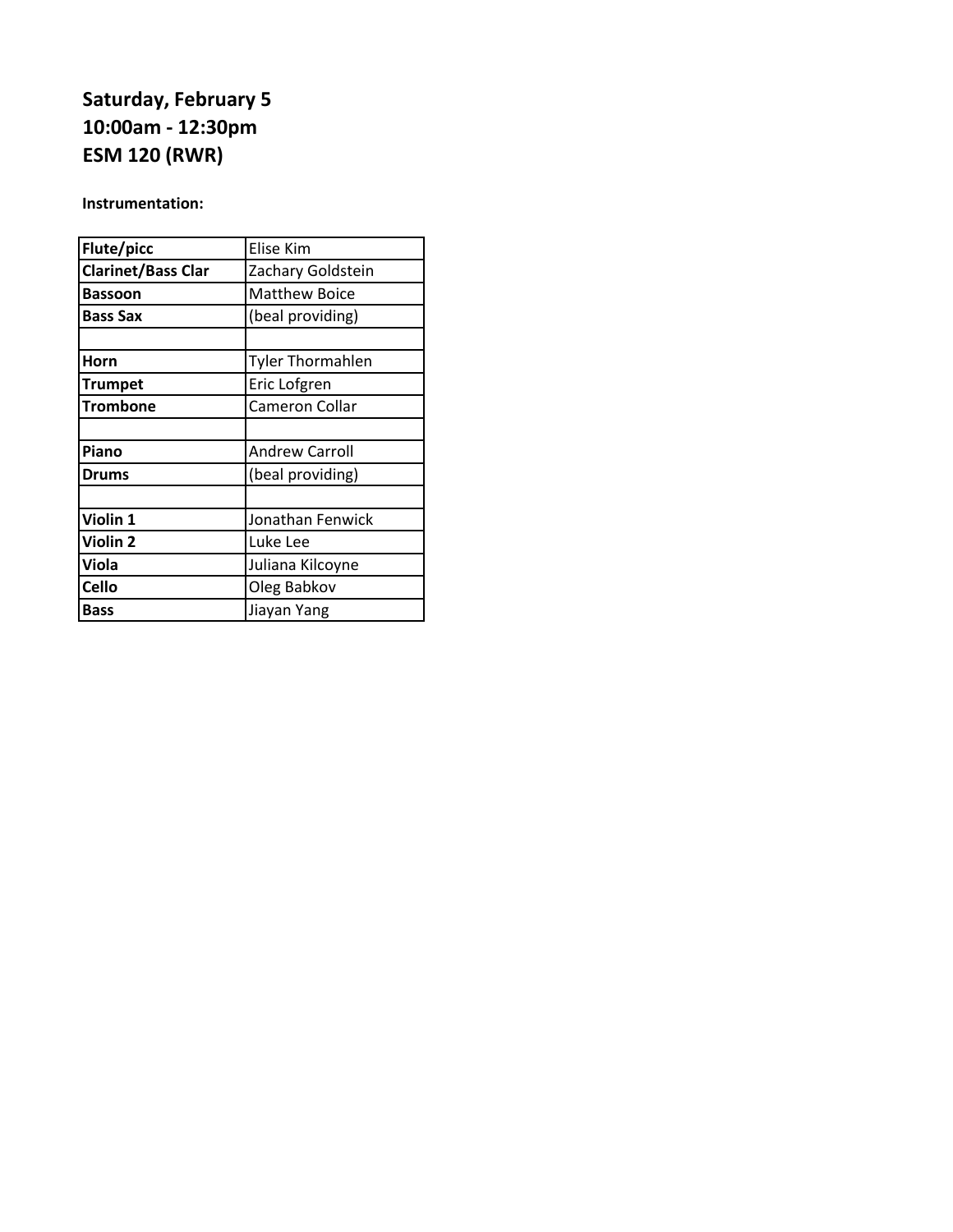# **Saturday, February 5 10:00am - 12:30pm ESM 120 (RWR)**

### **Instrumentation:**

| Elise Kim               |
|-------------------------|
| Zachary Goldstein       |
| <b>Matthew Boice</b>    |
| (beal providing)        |
|                         |
| <b>Tyler Thormahlen</b> |
| Eric Lofgren            |
| Cameron Collar          |
|                         |
| <b>Andrew Carroll</b>   |
| (beal providing)        |
|                         |
| Jonathan Fenwick        |
| Luke Lee                |
| Juliana Kilcoyne        |
| Oleg Babkov             |
| Jiayan Yang             |
|                         |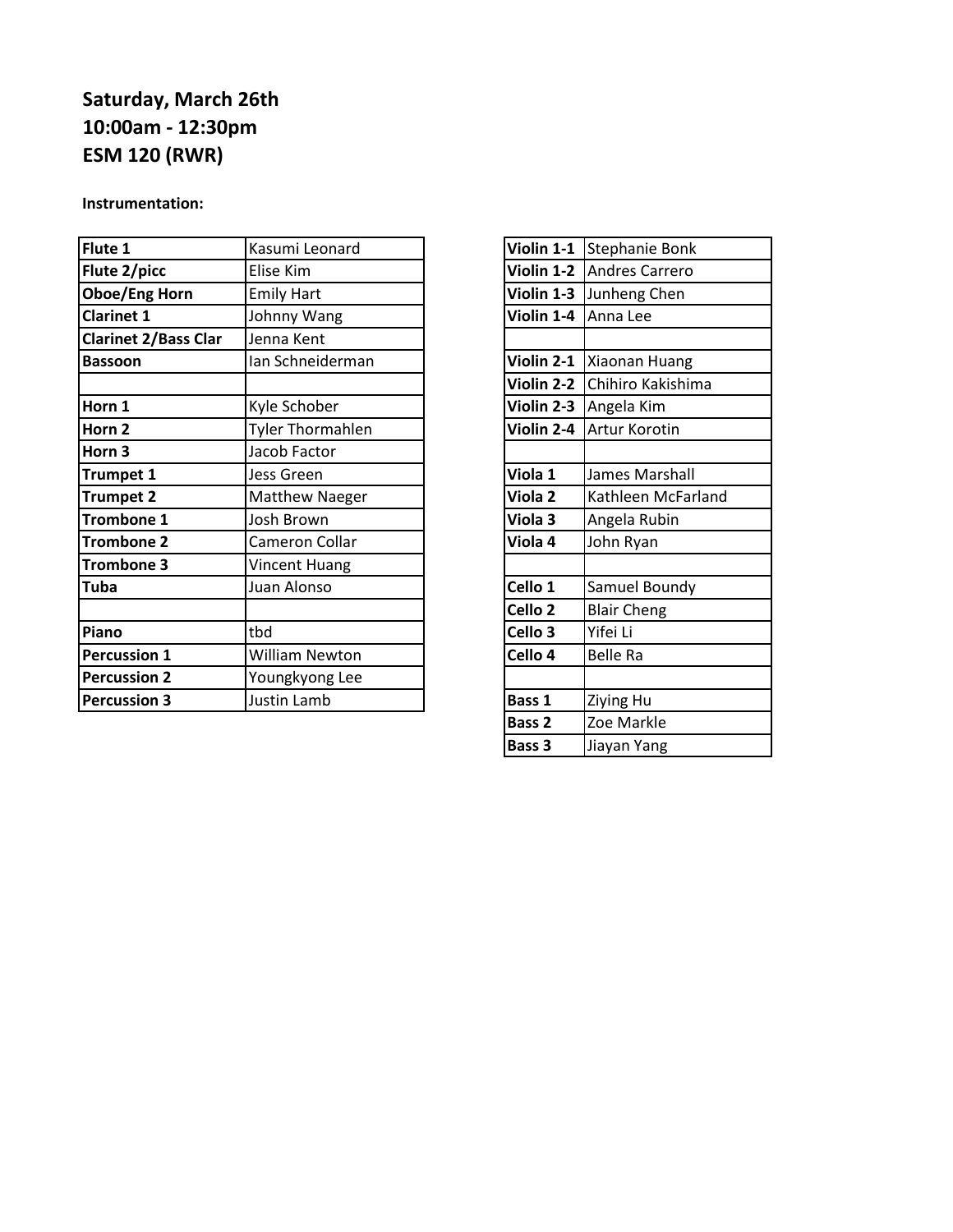## **Saturday, March 26th 10:00am - 12:30pm ESM 120 (RWR)**

#### **Instrumentation:**

| Flute 1                     | Kasumi Leonard        |                    | Violin 1-1 Stephanie Bonk    |
|-----------------------------|-----------------------|--------------------|------------------------------|
| Flute 2/picc                | Elise Kim             |                    | Violin 1-2 Andres Carrero    |
| <b>Oboe/Eng Horn</b>        | <b>Emily Hart</b>     |                    | Violin 1-3 Junheng Chen      |
| <b>Clarinet 1</b>           | Johnny Wang           | Violin 1-4         | Anna Lee                     |
| <b>Clarinet 2/Bass Clar</b> | Jenna Kent            |                    |                              |
| <b>Bassoon</b>              | Ian Schneiderman      |                    | Violin 2-1   Xiaonan Huang   |
|                             |                       |                    | Violin 2-2 Chihiro Kakishima |
| Horn 1                      | Kyle Schober          |                    | Violin 2-3 Angela Kim        |
| Horn 2                      | Tyler Thormahlen      | Violin 2-4         | Artur Korotin                |
| Horn 3                      | Jacob Factor          |                    |                              |
| <b>Trumpet 1</b>            | Jess Green            | Viola 1            | James Marshall               |
| <b>Trumpet 2</b>            | <b>Matthew Naeger</b> | Viola <sub>2</sub> | Kathleen McFarland           |
| <b>Trombone 1</b>           | Josh Brown            | Viola 3            | Angela Rubin                 |
| <b>Trombone 2</b>           | Cameron Collar        | Viola 4            | John Ryan                    |
| <b>Trombone 3</b>           | <b>Vincent Huang</b>  |                    |                              |
| <b>Tuba</b>                 | Juan Alonso           | Cello 1            | Samuel Boundy                |
|                             |                       | Cello <sub>2</sub> | <b>Blair Cheng</b>           |
| Piano                       | tbd                   | Cello 3            | Yifei Li                     |
| <b>Percussion 1</b>         | <b>William Newton</b> | Cello 4            | <b>Belle Ra</b>              |
| <b>Percussion 2</b>         | Youngkyong Lee        |                    |                              |
| <b>Percussion 3</b>         | <b>Justin Lamb</b>    | Bass 1             | <b>Ziying Hu</b>             |
|                             |                       |                    |                              |

| Violin 1-1         | Stephanie Bonk        |
|--------------------|-----------------------|
| Violin 1-2         | <b>Andres Carrero</b> |
| Violin 1-3         | Junheng Chen          |
| Violin 1-4         | Anna Lee              |
|                    |                       |
| Violin 2-1         | Xiaonan Huang         |
| Violin 2-2         | Chihiro Kakishima     |
| Violin 2-3         | Angela Kim            |
| Violin 2-4         | Artur Korotin         |
|                    |                       |
| Viola 1            | James Marshall        |
| Viola <sub>2</sub> | Kathleen McFarland    |
| Viola 3            | Angela Rubin          |
| Viola 4            | John Ryan             |
|                    |                       |
| Cello 1            | Samuel Boundy         |
| Cello <sub>2</sub> | <b>Blair Cheng</b>    |
| Cello 3            | Yifei Li              |
| Cello 4            | <b>Belle Ra</b>       |
|                    |                       |
| Bass 1             | Ziying Hu             |
| Bass <sub>2</sub>  | Zoe Markle            |
| Bass 3             | Jiayan Yang           |